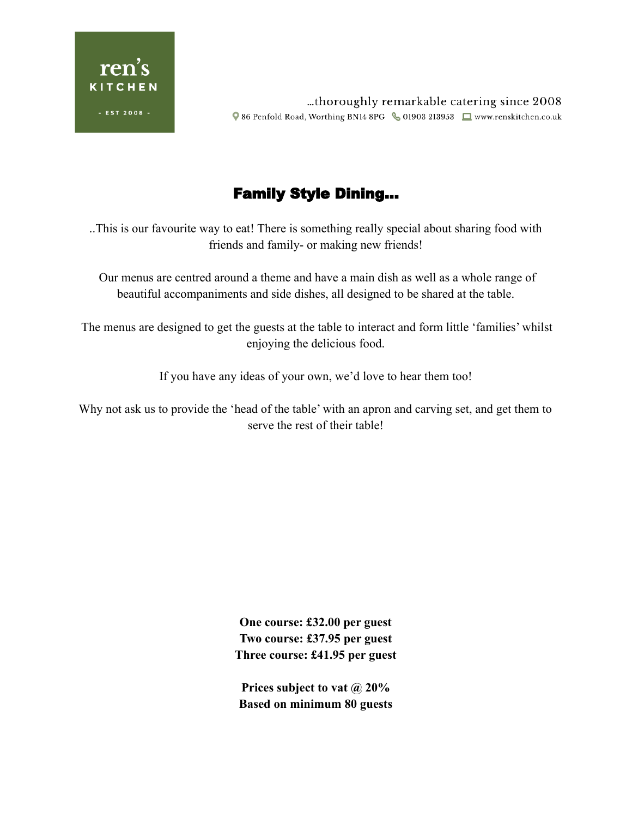

...thoroughly remarkable catering since 2008 ♥ 86 Penfold Road, Worthing BN14 8PG & 01903 213953 ■ www.renskitchen.co.uk

# Family Style Dining…

..This is our favourite way to eat! There is something really special about sharing food with friends and family- or making new friends!

Our menus are centred around a theme and have a main dish as well as a whole range of beautiful accompaniments and side dishes, all designed to be shared at the table.

The menus are designed to get the guests at the table to interact and form little 'families' whilst enjoying the delicious food.

If you have any ideas of your own, we'd love to hear them too!

Why not ask us to provide the 'head of the table' with an apron and carving set, and get them to serve the rest of their table!

> **One course: £32.00 per guest Two course: £37.95 per guest Three course: £41.95 per guest**

**Prices subject to vat @ 20% Based on minimum 80 guests**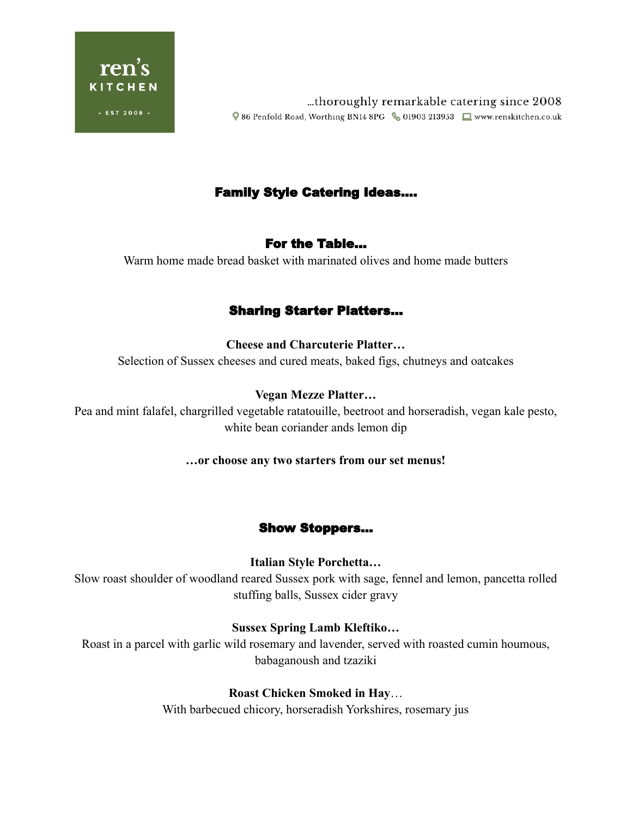

...thoroughly remarkable catering since 2008 Q 86 Penfold Road, Worthing BN14 8PG & 01903 213953 ■ www.renskitchen.co.uk

## Family Style Catering Ideas….

## For the Table…

Warm home made bread basket with marinated olives and home made butters

## Sharing Starter Platters…

#### **Cheese and Charcuterie Platter…**

Selection of Sussex cheeses and cured meats, baked figs, chutneys and oatcakes

#### **Vegan Mezze Platter…**

Pea and mint falafel, chargrilled vegetable ratatouille, beetroot and horseradish, vegan kale pesto, white bean coriander ands lemon dip

#### **…or choose any two starters from our set menus!**

## Show Stoppers…

#### **Italian Style Porchetta…**

Slow roast shoulder of woodland reared Sussex pork with sage, fennel and lemon, pancetta rolled stuffing balls, Sussex cider gravy

#### **Sussex Spring Lamb Kleftiko…**

Roast in a parcel with garlic wild rosemary and lavender, served with roasted cumin houmous, babaganoush and tzaziki

## **Roast Chicken Smoked in Hay**…

With barbecued chicory, horseradish Yorkshires, rosemary jus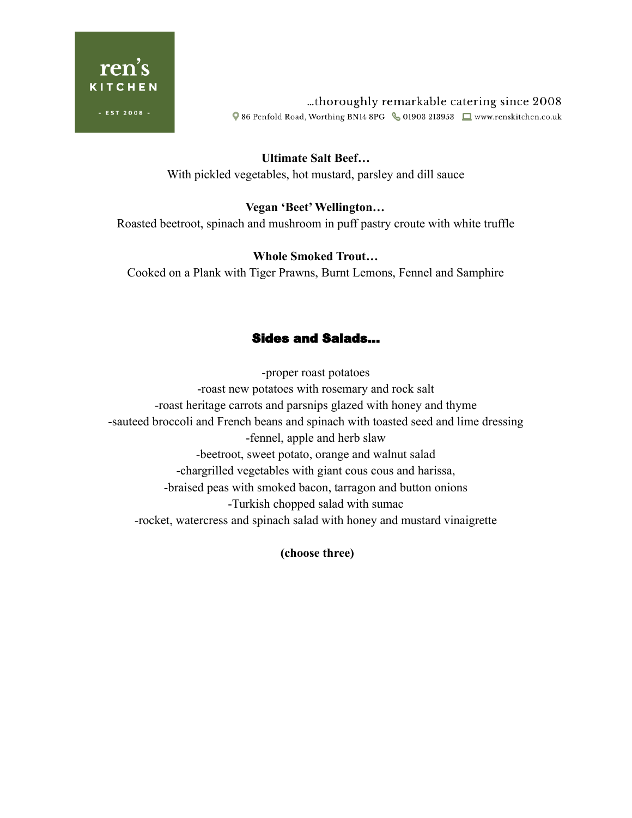

...thoroughly remarkable catering since 2008 Q 86 Penfold Road, Worthing BN14 8PG & 01903 213953 ■ www.renskitchen.co.uk

**Ultimate Salt Beef…** With pickled vegetables, hot mustard, parsley and dill sauce

## **Vegan 'Beet'Wellington…**

Roasted beetroot, spinach and mushroom in puff pastry croute with white truffle

#### **Whole Smoked Trout…**

Cooked on a Plank with Tiger Prawns, Burnt Lemons, Fennel and Samphire

## Sides and Salads…

-proper roast potatoes -roast new potatoes with rosemary and rock salt -roast heritage carrots and parsnips glazed with honey and thyme -sauteed broccoli and French beans and spinach with toasted seed and lime dressing -fennel, apple and herb slaw -beetroot, sweet potato, orange and walnut salad -chargrilled vegetables with giant cous cous and harissa, -braised peas with smoked bacon, tarragon and button onions -Turkish chopped salad with sumac -rocket, watercress and spinach salad with honey and mustard vinaigrette

**(choose three)**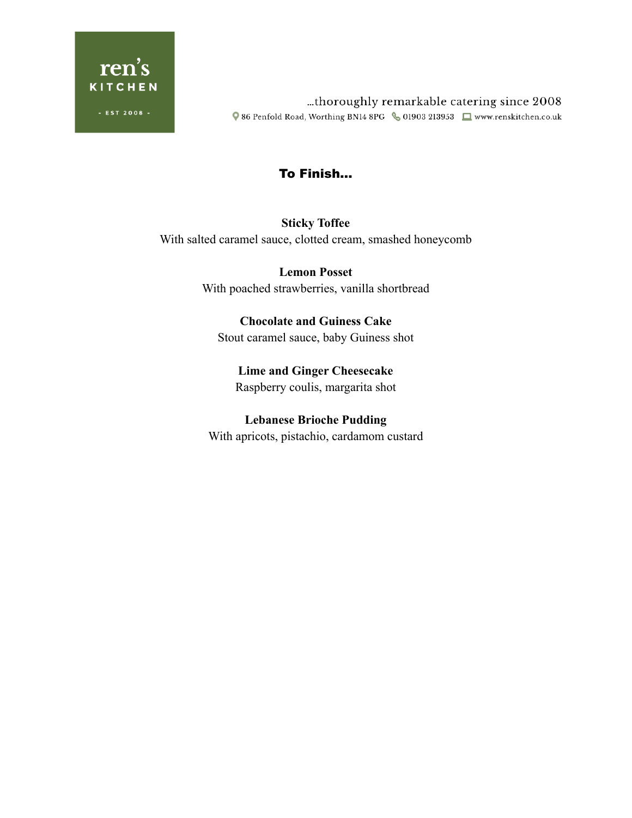

...thoroughly remarkable catering since 2008 Q 86 Penfold Road, Worthing BN14 8PG <6 01903 213953 <a>[Deterministic</a>hen.co.uk

## To Finish…

## **Sticky Toffee** With salted caramel sauce, clotted cream, smashed honeycomb

**Lemon Posset** With poached strawberries, vanilla shortbread

**Chocolate and Guiness Cake** Stout caramel sauce, baby Guiness shot

**Lime and Ginger Cheesecake** Raspberry coulis, margarita shot

**Lebanese Brioche Pudding** With apricots, pistachio, cardamom custard